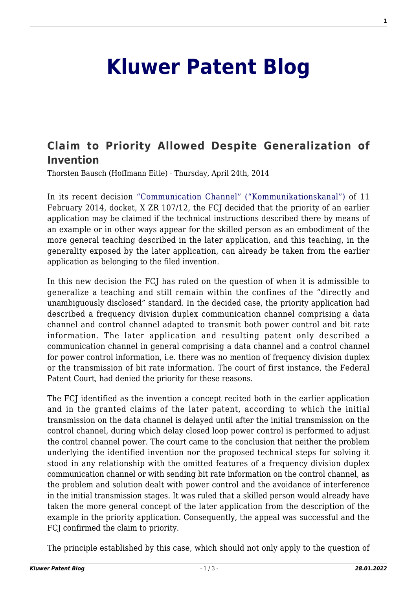## **[Kluwer Patent Blog](http://patentblog.kluweriplaw.com/)**

## **[Claim to Priority Allowed Despite Generalization of](http://patentblog.kluweriplaw.com/2014/04/24/claim-to-priority-allowed-despite-generalization-of-invention/) [Invention](http://patentblog.kluweriplaw.com/2014/04/24/claim-to-priority-allowed-despite-generalization-of-invention/)**

Thorsten Bausch (Hoffmann Eitle) · Thursday, April 24th, 2014

In its recent decision ["Communication Channel" \("Kommunikationskanal"\)](http://juris.bundesgerichtshof.de/cgi-bin/rechtsprechung/document.py?Gericht=bgh&Art=en&sid=da37006a55f202fcd2d4ad2d87a996d6&nr=67495&pos=0&anz=3) of 11 February 2014, docket, X ZR 107/12, the FCJ decided that the priority of an earlier application may be claimed if the technical instructions described there by means of an example or in other ways appear for the skilled person as an embodiment of the more general teaching described in the later application, and this teaching, in the generality exposed by the later application, can already be taken from the earlier application as belonging to the filed invention.

In this new decision the FCJ has ruled on the question of when it is admissible to generalize a teaching and still remain within the confines of the "directly and unambiguously disclosed" standard. In the decided case, the priority application had described a frequency division duplex communication channel comprising a data channel and control channel adapted to transmit both power control and bit rate information. The later application and resulting patent only described a communication channel in general comprising a data channel and a control channel for power control information, i.e. there was no mention of frequency division duplex or the transmission of bit rate information. The court of first instance, the Federal Patent Court, had denied the priority for these reasons.

The FCJ identified as the invention a concept recited both in the earlier application and in the granted claims of the later patent, according to which the initial transmission on the data channel is delayed until after the initial transmission on the control channel, during which delay closed loop power control is performed to adjust the control channel power. The court came to the conclusion that neither the problem underlying the identified invention nor the proposed technical steps for solving it stood in any relationship with the omitted features of a frequency division duplex communication channel or with sending bit rate information on the control channel, as the problem and solution dealt with power control and the avoidance of interference in the initial transmission stages. It was ruled that a skilled person would already have taken the more general concept of the later application from the description of the example in the priority application. Consequently, the appeal was successful and the FCJ confirmed the claim to priority.

The principle established by this case, which should not only apply to the question of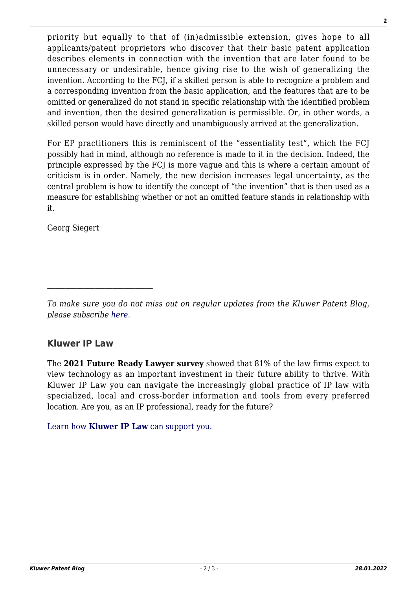priority but equally to that of (in)admissible extension, gives hope to all

**2**

applicants/patent proprietors who discover that their basic patent application describes elements in connection with the invention that are later found to be unnecessary or undesirable, hence giving rise to the wish of generalizing the invention. According to the FCJ, if a skilled person is able to recognize a problem and a corresponding invention from the basic application, and the features that are to be omitted or generalized do not stand in specific relationship with the identified problem and invention, then the desired generalization is permissible. Or, in other words, a skilled person would have directly and unambiguously arrived at the generalization.

For EP practitioners this is reminiscent of the "essentiality test", which the FCJ possibly had in mind, although no reference is made to it in the decision. Indeed, the principle expressed by the FCJ is more vague and this is where a certain amount of criticism is in order. Namely, the new decision increases legal uncertainty, as the central problem is how to identify the concept of "the invention" that is then used as a measure for establishing whether or not an omitted feature stands in relationship with it.

Georg Siegert

## **Kluwer IP Law**

The **2021 Future Ready Lawyer survey** showed that 81% of the law firms expect to view technology as an important investment in their future ability to thrive. With Kluwer IP Law you can navigate the increasingly global practice of IP law with specialized, local and cross-border information and tools from every preferred location. Are you, as an IP professional, ready for the future?

[Learn how](https://www.wolterskluwer.com/en/solutions/kluweriplaw?utm_source=patentblog&utm_medium=articleCTA&utm_campaign=article-banner) **[Kluwer IP Law](https://www.wolterskluwer.com/en/solutions/kluweriplaw?utm_source=patentblog&utm_medium=articleCTA&utm_campaign=article-banner)** [can support you.](https://www.wolterskluwer.com/en/solutions/kluweriplaw?utm_source=patentblog&utm_medium=articleCTA&utm_campaign=article-banner)

*To make sure you do not miss out on regular updates from the Kluwer Patent Blog, please subscribe [here.](http://patentblog.kluweriplaw.com/newsletter)*